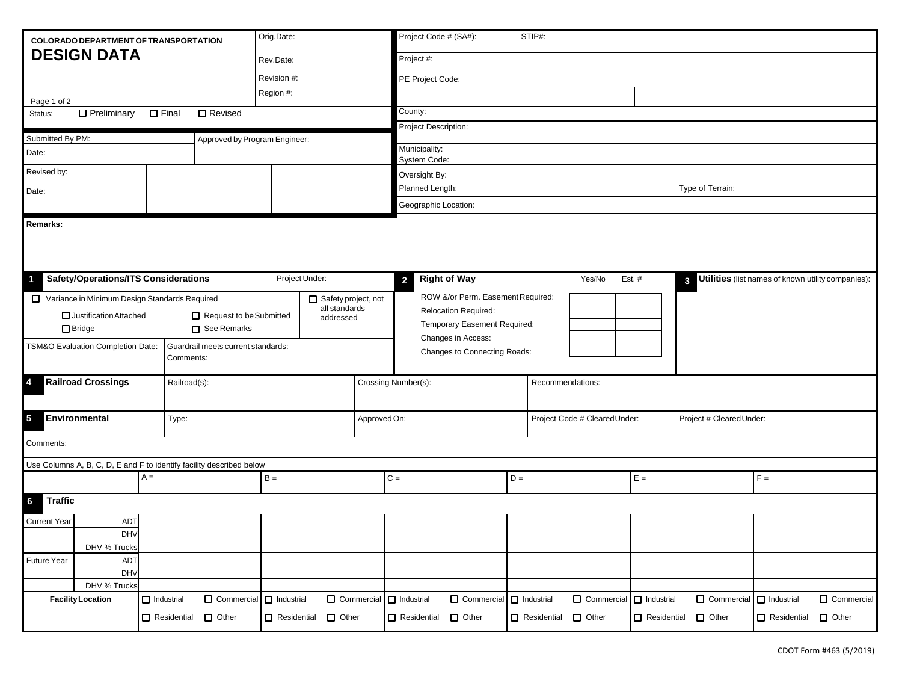| <b>COLORADO DEPARTMENT OF TRANSPORTATION</b>               |                                               |                    | Orig.Date:                                                           |                    | Project Code # (SA#):                                                      |                         | STIP#:                              |                    |                          |                    |                           |                    |                                                    |  |  |  |
|------------------------------------------------------------|-----------------------------------------------|--------------------|----------------------------------------------------------------------|--------------------|----------------------------------------------------------------------------|-------------------------|-------------------------------------|--------------------|--------------------------|--------------------|---------------------------|--------------------|----------------------------------------------------|--|--|--|
|                                                            | <b>DESIGN DATA</b>                            |                    |                                                                      | Rev.Date:          |                                                                            | Project #:              |                                     |                    |                          |                    |                           |                    |                                                    |  |  |  |
|                                                            |                                               |                    |                                                                      |                    | Revision #:                                                                |                         | PE Project Code:                    |                    |                          |                    |                           |                    |                                                    |  |  |  |
| Region #:<br>Page 1 of 2                                   |                                               |                    |                                                                      |                    |                                                                            |                         |                                     |                    |                          |                    |                           |                    |                                                    |  |  |  |
| Status:                                                    | $\Box$ Preliminary                            | $\Box$ Final       | □ Revised                                                            |                    |                                                                            | County:                 |                                     |                    |                          |                    |                           |                    |                                                    |  |  |  |
|                                                            |                                               |                    |                                                                      |                    |                                                                            | Project Description:    |                                     |                    |                          |                    |                           |                    |                                                    |  |  |  |
| Submitted By PM:<br>Approved by Program Engineer:<br>Date: |                                               |                    |                                                                      |                    |                                                                            | Municipality:           |                                     |                    |                          |                    |                           |                    |                                                    |  |  |  |
|                                                            |                                               |                    |                                                                      |                    | System Code:                                                               |                         |                                     |                    |                          |                    |                           |                    |                                                    |  |  |  |
| Revised by:                                                |                                               |                    |                                                                      |                    |                                                                            | Oversight By:           |                                     |                    |                          |                    |                           |                    |                                                    |  |  |  |
| Date:                                                      |                                               |                    |                                                                      |                    |                                                                            |                         | Planned Length:<br>Type of Terrain: |                    |                          |                    |                           |                    |                                                    |  |  |  |
|                                                            |                                               |                    |                                                                      |                    |                                                                            |                         | Geographic Location:                |                    |                          |                    |                           |                    |                                                    |  |  |  |
|                                                            |                                               |                    |                                                                      |                    |                                                                            |                         |                                     |                    |                          |                    |                           |                    |                                                    |  |  |  |
| 4                                                          | <b>Safety/Operations/ITS Considerations</b>   |                    |                                                                      | Project Under:     |                                                                            | $\overline{2}$          | <b>Right of Way</b>                 |                    | Yes/No                   | Est. $#$           | $\mathbf{3}$              |                    | Utilities (list names of known utility companies): |  |  |  |
|                                                            | Variance in Minimum Design Standards Required |                    |                                                                      |                    | Safety project, not                                                        |                         | ROW &/or Perm. Easement Required:   |                    |                          |                    |                           |                    |                                                    |  |  |  |
| Justification Attached<br>Request to be Submitted          |                                               |                    | all standards<br>addressed                                           |                    | Relocation Required:<br>Temporary Easement Required:<br>Changes in Access: |                         |                                     |                    |                          |                    |                           |                    |                                                    |  |  |  |
| See Remarks<br>$\Box$ Bridge                               |                                               |                    |                                                                      |                    |                                                                            |                         |                                     |                    |                          |                    |                           |                    |                                                    |  |  |  |
|                                                            | TSM&O Evaluation Completion Date:             |                    | Guardrail meets current standards:<br>Comments:                      |                    |                                                                            |                         | Changes to Connecting Roads:        |                    |                          |                    |                           |                    |                                                    |  |  |  |
| 4                                                          | <b>Railroad Crossings</b>                     |                    | Railroad(s):                                                         |                    |                                                                            | Crossing Number(s):     |                                     |                    | Recommendations:         |                    |                           |                    |                                                    |  |  |  |
| 5<br>Environmental<br>Type:                                |                                               |                    |                                                                      | Approved On:       |                                                                            |                         | Project Code # Cleared Under:       |                    | Project # Cleared Under: |                    |                           |                    |                                                    |  |  |  |
| Comments:                                                  |                                               |                    |                                                                      |                    |                                                                            |                         |                                     |                    |                          |                    |                           |                    |                                                    |  |  |  |
|                                                            |                                               |                    | Use Columns A, B, C, D, E and F to identify facility described below |                    |                                                                            |                         |                                     |                    |                          |                    |                           |                    |                                                    |  |  |  |
|                                                            |                                               | $A =$              |                                                                      | $B =$              |                                                                            | $C =$                   |                                     | $D =$              |                          | $E =$              |                           | $F =$              |                                                    |  |  |  |
| <b>Traffic</b><br>6                                        |                                               |                    |                                                                      |                    |                                                                            |                         |                                     |                    |                          |                    |                           |                    |                                                    |  |  |  |
| <b>Current Year</b>                                        | ADT                                           |                    |                                                                      |                    |                                                                            |                         |                                     |                    |                          |                    |                           |                    |                                                    |  |  |  |
|                                                            | <b>DHV</b>                                    |                    |                                                                      |                    |                                                                            |                         |                                     |                    |                          |                    |                           |                    |                                                    |  |  |  |
|                                                            | DHV % Trucks                                  |                    |                                                                      |                    |                                                                            |                         |                                     |                    |                          |                    |                           |                    |                                                    |  |  |  |
| Future Year                                                | ADT<br>DHV                                    |                    |                                                                      |                    |                                                                            |                         |                                     |                    |                          |                    |                           |                    |                                                    |  |  |  |
|                                                            | DHV % Trucks                                  |                    |                                                                      |                    |                                                                            |                         |                                     |                    |                          |                    |                           |                    |                                                    |  |  |  |
|                                                            | <b>Facility Location</b>                      | $\Box$ Industrial  | Commercial C Industrial                                              |                    |                                                                            | Commercial I Industrial | Commercial                          | $\Box$ Industrial  | $\Box$ Commercial        | $\Box$ Industrial  | □ Commercial □ Industrial |                    | $\Box$ Commercial                                  |  |  |  |
|                                                            |                                               | $\Box$ Residential | $\Box$ Other                                                         | $\Box$ Residential | $\Box$ Other                                                               | □ Residential □ Other   |                                     | $\Box$ Residential | $\Box$ Other             | $\Box$ Residential | $\Box$ Other              | $\Box$ Residential | $\Box$ Other                                       |  |  |  |
|                                                            |                                               |                    |                                                                      |                    |                                                                            |                         |                                     |                    |                          |                    |                           |                    |                                                    |  |  |  |